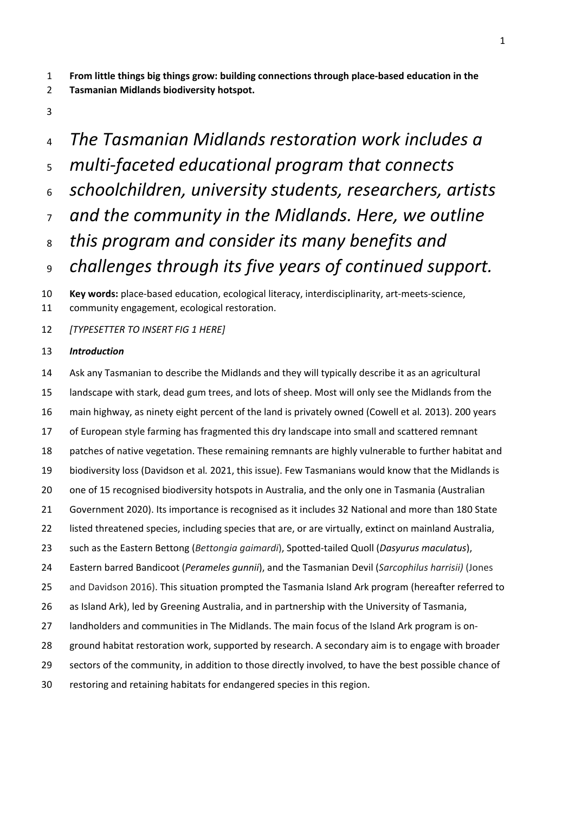**From little things big things grow: building connections through place-based education in the** 

- **Tasmanian Midlands biodiversity hotspot.**
- 
- *The Tasmanian Midlands restoration work includes a multi-faceted educational program that connects schoolchildren, university students, researchers, artists and the community in the Midlands. Here, we outline this program and consider its many benefits and challenges through its five years of continued support.* **Key words:** place-based education, ecological literacy, interdisciplinarity, art-meets-science, community engagement, ecological restoration.
- *[TYPESETTER TO INSERT FIG 1 HERE]*

## *Introduction*

- Ask any Tasmanian to describe the Midlands and they will typically describe it as an agricultural landscape with stark, dead gum trees, and lots of sheep. Most will only see the Midlands from the main highway, as ninety eight percent of the land is privately owned (Cowell et al*.* 2013). 200 years of European style farming has fragmented this dry landscape into small and scattered remnant patches of native vegetation. These remaining remnants are highly vulnerable to further habitat and biodiversity loss (Davidson et al*.* 2021, this issue). Few Tasmanians would know that the Midlands is 20 one of 15 recognised biodiversity hotspots in Australia, and the only one in Tasmania (Australian Government 2020). Its importance is recognised as it includes 32 National and more than 180 State listed threatened species, including species that are, or are virtually, extinct on mainland Australia, such as the Eastern Bettong (*Bettongia gaimardi*), Spotted-tailed Quoll (*Dasyurus maculatus*), Eastern barred Bandicoot (*Perameles gunnii*), and the Tasmanian Devil (*Sarcophilus harrisii)* (Jones and Davidson 2016). This situation prompted the Tasmania Island Ark program (hereafter referred to as Island Ark), led by Greening Australia, and in partnership with the University of Tasmania, landholders and communities in The Midlands. The main focus of the Island Ark program is on-ground habitat restoration work, supported by research. A secondary aim is to engage with broader
- sectors of the community, in addition to those directly involved, to have the best possible chance of
- restoring and retaining habitats for endangered species in this region.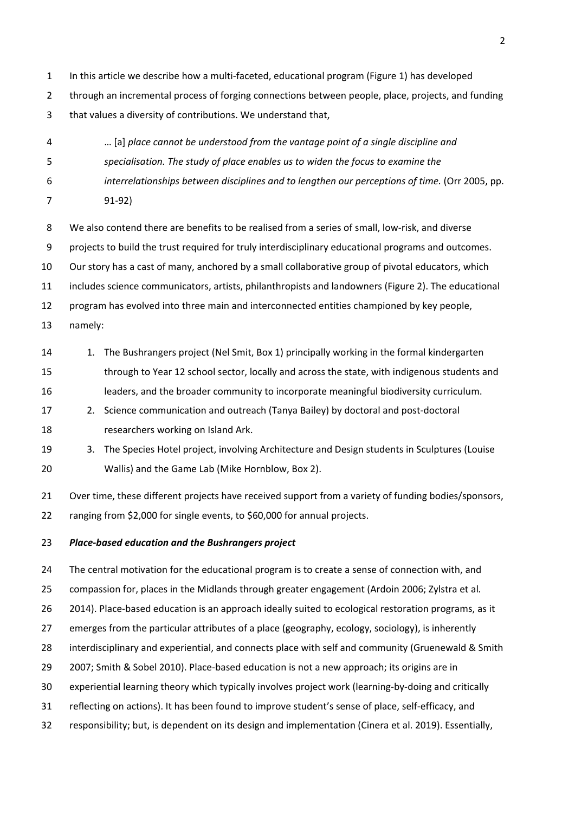- In this article we describe how a multi-faceted, educational program (Figure 1) has developed
- through an incremental process of forging connections between people, place, projects, and funding that values a diversity of contributions. We understand that,
- … [a] *place cannot be understood from the vantage point of a single discipline and*
- *specialisation. The study of place enables us to widen the focus to examine the*
- *interrelationships between disciplines and to lengthen our perceptions of time.* (Orr 2005, pp.
- 91-92)
- We also contend there are benefits to be realised from a series of small, low-risk, and diverse
- projects to build the trust required for truly interdisciplinary educational programs and outcomes.
- Our story has a cast of many, anchored by a small collaborative group of pivotal educators, which
- includes science communicators, artists, philanthropists and landowners (Figure 2). The educational
- program has evolved into three main and interconnected entities championed by key people,
- namely:
- 14 1. The Bushrangers project (Nel Smit, Box 1) principally working in the formal kindergarten
- through to Year 12 school sector, locally and across the state, with indigenous students and
- leaders, and the broader community to incorporate meaningful biodiversity curriculum.
- 2. Science communication and outreach (Tanya Bailey) by doctoral and post-doctoral researchers working on Island Ark.
- 3. The Species Hotel project, involving Architecture and Design students in Sculptures (Louise Wallis) and the Game Lab (Mike Hornblow, Box 2).
- 21 Over time, these different projects have received support from a variety of funding bodies/sponsors, ranging from \$2,000 for single events, to \$60,000 for annual projects.

## *Place-based education and the Bushrangers project*

 The central motivation for the educational program is to create a sense of connection with, and compassion for, places in the Midlands through greater engagement (Ardoin 2006; Zylstra et al*.* 2014). Place-based education is an approach ideally suited to ecological restoration programs, as it emerges from the particular attributes of a place (geography, ecology, sociology), is inherently interdisciplinary and experiential, and connects place with self and community (Gruenewald & Smith 2007; Smith & Sobel 2010). Place-based education is not a new approach; its origins are in experiential learning theory which typically involves project work (learning-by-doing and critically reflecting on actions). It has been found to improve student's sense of place, self-efficacy, and responsibility; but, is dependent on its design and implementation (Cinera et al. 2019). Essentially,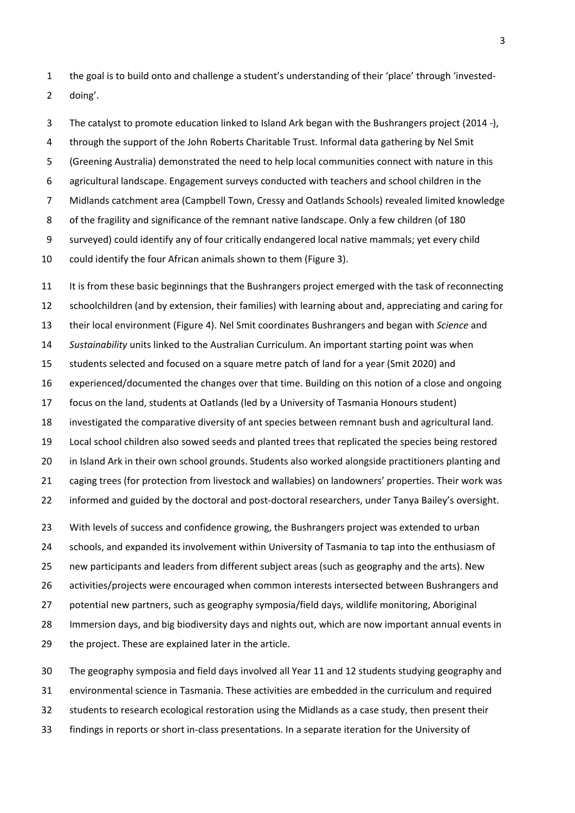the goal is to build onto and challenge a student's understanding of their 'place' through 'invested-doing'.

 The catalyst to promote education linked to Island Ark began with the Bushrangers project (2014 -), through the support of the John Roberts Charitable Trust. Informal data gathering by Nel Smit (Greening Australia) demonstrated the need to help local communities connect with nature in this agricultural landscape. Engagement surveys conducted with teachers and school children in the Midlands catchment area (Campbell Town, Cressy and Oatlands Schools) revealed limited knowledge 8 of the fragility and significance of the remnant native landscape. Only a few children (of 180 surveyed) could identify any of four critically endangered local native mammals; yet every child could identify the four African animals shown to them (Figure 3).

 It is from these basic beginnings that the Bushrangers project emerged with the task of reconnecting schoolchildren (and by extension, their families) with learning about and, appreciating and caring for their local environment (Figure 4). Nel Smit coordinates Bushrangers and began with *Science* and *Sustainability* units linked to the Australian Curriculum. An important starting point was when students selected and focused on a square metre patch of land for a year (Smit 2020) and experienced/documented the changes over that time. Building on this notion of a close and ongoing focus on the land, students at Oatlands (led by a University of Tasmania Honours student) investigated the comparative diversity of ant species between remnant bush and agricultural land. Local school children also sowed seeds and planted trees that replicated the species being restored in Island Ark in their own school grounds. Students also worked alongside practitioners planting and caging trees (for protection from livestock and wallabies) on landowners' properties. Their work was informed and guided by the doctoral and post-doctoral researchers, under Tanya Bailey's oversight. With levels of success and confidence growing, the Bushrangers project was extended to urban schools, and expanded its involvement within University of Tasmania to tap into the enthusiasm of

 new participants and leaders from different subject areas (such as geography and the arts). New activities/projects were encouraged when common interests intersected between Bushrangers and potential new partners, such as geography symposia/field days, wildlife monitoring, Aboriginal Immersion days, and big biodiversity days and nights out, which are now important annual events in the project. These are explained later in the article.

 The geography symposia and field days involved all Year 11 and 12 students studying geography and environmental science in Tasmania. These activities are embedded in the curriculum and required students to research ecological restoration using the Midlands as a case study, then present their findings in reports or short in-class presentations. In a separate iteration for the University of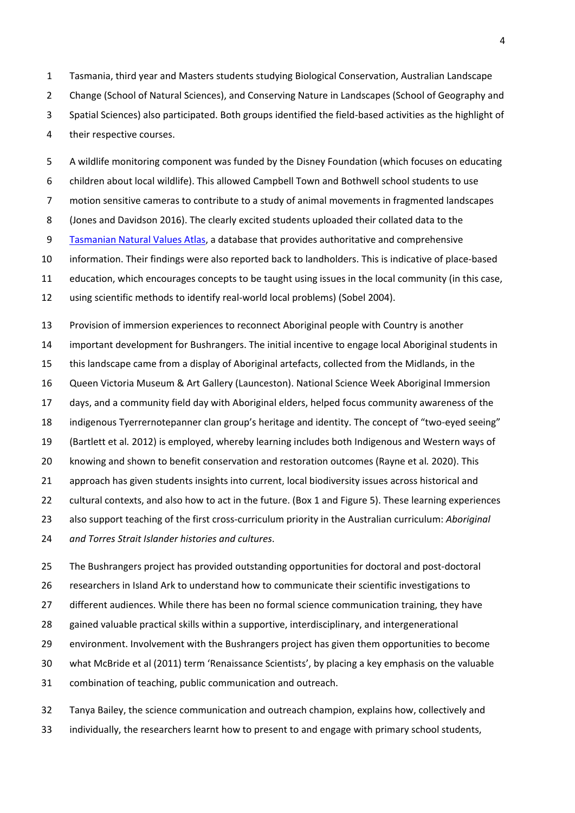Tasmania, third year and Masters students studying Biological Conservation, Australian Landscape Change (School of Natural Sciences), and Conserving Nature in Landscapes (School of Geography and Spatial Sciences) also participated. Both groups identified the field-based activities as the highlight of their respective courses.

 A wildlife monitoring component was funded by the Disney Foundation (which focuses on educating children about local wildlife). This allowed Campbell Town and Bothwell school students to use motion sensitive cameras to contribute to a study of animal movements in fragmented landscapes (Jones and Davidson 2016). The clearly excited students uploaded their collated data to the [Tasmanian Natural Values](https://www.naturalvaluesatlas.tas.gov.au/) Atlas, a database that provides authoritative and comprehensive information. Their findings were also reported back to landholders. This is indicative of place-based education, which encourages concepts to be taught using issues in the local community (in this case, using scientific methods to identify real-world local problems) (Sobel 2004).

 Provision of immersion experiences to reconnect Aboriginal people with Country is another important development for Bushrangers. The initial incentive to engage local Aboriginal students in this landscape came from a display of Aboriginal artefacts, collected from the Midlands, in the Queen Victoria Museum & Art Gallery (Launceston). National Science Week Aboriginal Immersion days, and a community field day with Aboriginal elders, helped focus community awareness of the indigenous Tyerrernotepanner clan group's heritage and identity. The concept of "two-eyed seeing" (Bartlett et al*.* 2012) is employed, whereby learning includes both Indigenous and Western ways of knowing and shown to benefit conservation and restoration outcomes (Rayne et al*.* 2020). This approach has given students insights into current, local biodiversity issues across historical and cultural contexts, and also how to act in the future. (Box 1 and Figure 5). These learning experiences also support teaching of the first cross-curriculum priority in the Australian curriculum: *Aboriginal* 

*and Torres Strait Islander histories and cultures*.

 The Bushrangers project has provided outstanding opportunities for doctoral and post-doctoral researchers in Island Ark to understand how to communicate their scientific investigations to different audiences. While there has been no formal science communication training, they have gained valuable practical skills within a supportive, interdisciplinary, and intergenerational environment. Involvement with the Bushrangers project has given them opportunities to become what McBride et al (2011) term 'Renaissance Scientists', by placing a key emphasis on the valuable combination of teaching, public communication and outreach.

 Tanya Bailey, the science communication and outreach champion, explains how, collectively and individually, the researchers learnt how to present to and engage with primary school students,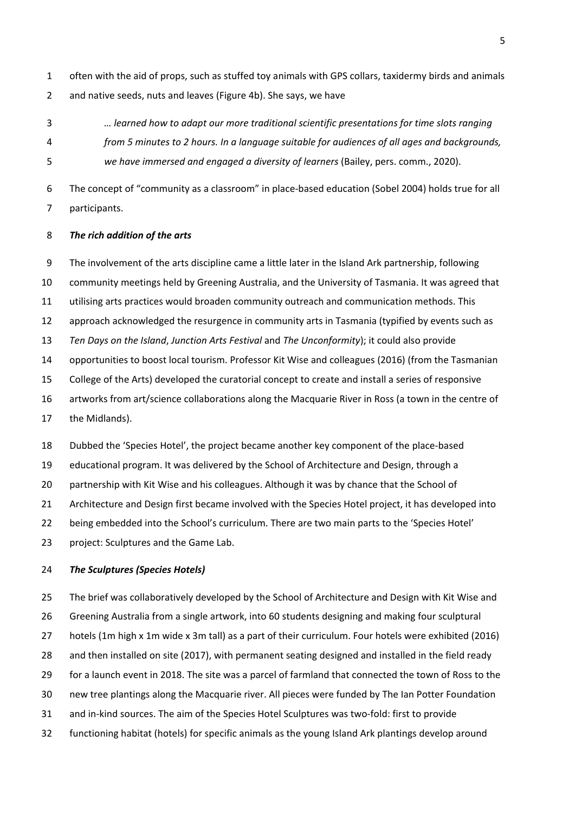often with the aid of props, such as stuffed toy animals with GPS collars, taxidermy birds and animals and native seeds, nuts and leaves (Figure 4b). She says, we have

- *… learned how to adapt our more traditional scientific presentations for time slots ranging*
- *from 5 minutes to 2 hours. In a language suitable for audiences of all ages and backgrounds,*

*we have immersed and engaged a diversity of learners* (Bailey, pers. comm., 2020).

 The concept of "community as a classroom" in place-based education (Sobel 2004) holds true for all participants.

### *The rich addition of the arts*

The involvement of the arts discipline came a little later in the Island Ark partnership, following

community meetings held by Greening Australia, and the University of Tasmania. It was agreed that

- utilising arts practices would broaden community outreach and communication methods. This
- approach acknowledged the resurgence in community arts in Tasmania (typified by events such as
- *Ten Days on the Island*, *Junction Arts Festival* and *The Unconformity*); it could also provide

opportunities to boost local tourism. Professor Kit Wise and colleagues (2016) (from the Tasmanian

- College of the Arts) developed the curatorial concept to create and install a series of responsive
- artworks from art/science collaborations along the Macquarie River in Ross (a town in the centre of
- the Midlands).

Dubbed the 'Species Hotel', the project became another key component of the place-based

 educational program. It was delivered by the School of Architecture and Design, through a 20 partnership with Kit Wise and his colleagues. Although it was by chance that the School of

Architecture and Design first became involved with the Species Hotel project, it has developed into

- being embedded into the School's curriculum. There are two main parts to the 'Species Hotel'
- project: Sculptures and the Game Lab.

### *The Sculptures (Species Hotels)*

 The brief was collaboratively developed by the School of Architecture and Design with Kit Wise and Greening Australia from a single artwork, into 60 students designing and making four sculptural hotels (1m high x 1m wide x 3m tall) as a part of their curriculum. Four hotels were exhibited (2016) and then installed on site (2017), with permanent seating designed and installed in the field ready for a launch event in 2018. The site was a parcel of farmland that connected the town of Ross to the new tree plantings along the Macquarie river. All pieces were funded by The Ian Potter Foundation and in-kind sources. The aim of the Species Hotel Sculptures was two-fold: first to provide functioning habitat (hotels) for specific animals as the young Island Ark plantings develop around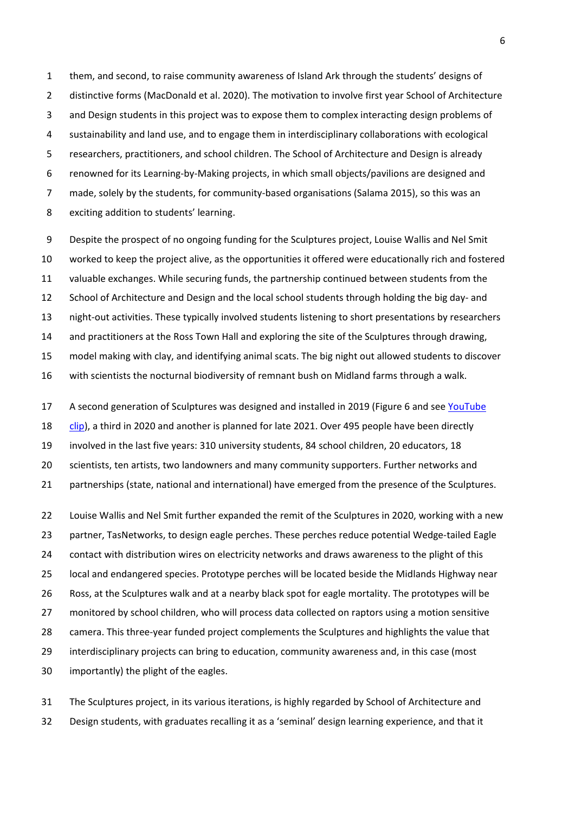them, and second, to raise community awareness of Island Ark through the students' designs of distinctive forms (MacDonald et al. 2020). The motivation to involve first year School of Architecture and Design students in this project was to expose them to complex interacting design problems of sustainability and land use, and to engage them in interdisciplinary collaborations with ecological researchers, practitioners, and school children. The School of Architecture and Design is already renowned for its Learning-by-Making projects, in which small objects/pavilions are designed and made, solely by the students, for community-based organisations (Salama 2015), so this was an exciting addition to students' learning.

 Despite the prospect of no ongoing funding for the Sculptures project, Louise Wallis and Nel Smit worked to keep the project alive, as the opportunities it offered were educationally rich and fostered valuable exchanges. While securing funds, the partnership continued between students from the School of Architecture and Design and the local school students through holding the big day- and night-out activities. These typically involved students listening to short presentations by researchers 14 and practitioners at the Ross Town Hall and exploring the site of the Sculptures through drawing, model making with clay, and identifying animal scats. The big night out allowed students to discover with scientists the nocturnal biodiversity of remnant bush on Midland farms through a walk.

 A second generation of Sculptures was designed and installed in 2019 (Figure 6 and see [YouTube](https://www.youtube.com/watch?v=LZt3CvbY-1M&t=4s)  [clip\)](https://www.youtube.com/watch?v=LZt3CvbY-1M&t=4s), a third in 2020 and another is planned for late 2021. Over 495 people have been directly involved in the last five years: 310 university students, 84 school children, 20 educators, 18 20 scientists, ten artists, two landowners and many community supporters. Further networks and partnerships (state, national and international) have emerged from the presence of the Sculptures.

 Louise Wallis and Nel Smit further expanded the remit of the Sculptures in 2020, working with a new partner, TasNetworks, to design eagle perches. These perches reduce potential Wedge-tailed Eagle contact with distribution wires on electricity networks and draws awareness to the plight of this local and endangered species. Prototype perches will be located beside the Midlands Highway near Ross, at the Sculptures walk and at a nearby black spot for eagle mortality. The prototypes will be monitored by school children, who will process data collected on raptors using a motion sensitive camera. This three-year funded project complements the Sculptures and highlights the value that interdisciplinary projects can bring to education, community awareness and, in this case (most importantly) the plight of the eagles.

 The Sculptures project, in its various iterations, is highly regarded by School of Architecture and Design students, with graduates recalling it as a 'seminal' design learning experience, and that it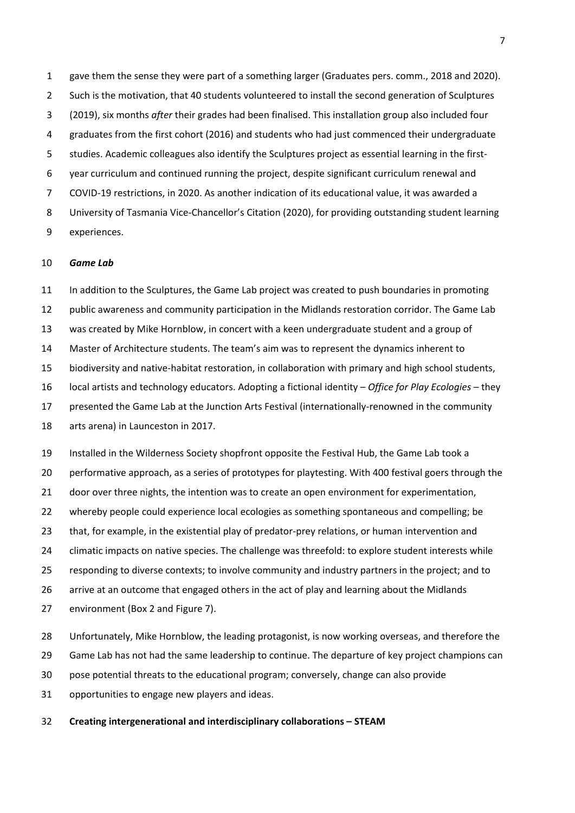gave them the sense they were part of a something larger (Graduates pers. comm., 2018 and 2020). 2 Such is the motivation, that 40 students volunteered to install the second generation of Sculptures (2019), six months *after* their grades had been finalised. This installation group also included four graduates from the first cohort (2016) and students who had just commenced their undergraduate studies. Academic colleagues also identify the Sculptures project as essential learning in the first- year curriculum and continued running the project, despite significant curriculum renewal and COVID-19 restrictions, in 2020. As another indication of its educational value, it was awarded a University of Tasmania Vice-Chancellor's Citation (2020), for providing outstanding student learning experiences.

#### *Game Lab*

 In addition to the Sculptures, the Game Lab project was created to push boundaries in promoting public awareness and community participation in the Midlands restoration corridor. The Game Lab was created by Mike Hornblow, in concert with a keen undergraduate student and a group of Master of Architecture students. The team's aim was to represent the dynamics inherent to biodiversity and native-habitat restoration, in collaboration with primary and high school students, local artists and technology educators. Adopting a fictional identity – *Office for Play Ecologies* – they presented the Game Lab at the Junction Arts Festival (internationally-renowned in the community arts arena) in Launceston in 2017. Installed in the Wilderness Society shopfront opposite the Festival Hub, the Game Lab took a performative approach, as a series of prototypes for playtesting. With 400 festival goers through the

door over three nights, the intention was to create an open environment for experimentation,

whereby people could experience local ecologies as something spontaneous and compelling; be

that, for example, in the existential play of predator-prey relations, or human intervention and

climatic impacts on native species. The challenge was threefold: to explore student interests while

responding to diverse contexts; to involve community and industry partners in the project; and to

arrive at an outcome that engaged others in the act of play and learning about the Midlands

environment (Box 2 and Figure 7).

Unfortunately, Mike Hornblow, the leading protagonist, is now working overseas, and therefore the

Game Lab has not had the same leadership to continue. The departure of key project champions can

pose potential threats to the educational program; conversely, change can also provide

opportunities to engage new players and ideas.

**Creating intergenerational and interdisciplinary collaborations – STEAM**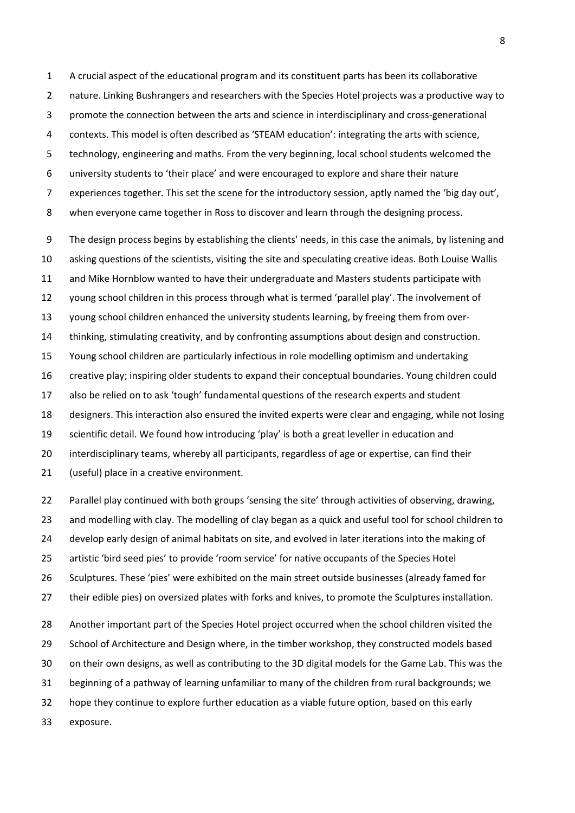A crucial aspect of the educational program and its constituent parts has been its collaborative nature. Linking Bushrangers and researchers with the Species Hotel projects was a productive way to promote the connection between the arts and science in interdisciplinary and cross-generational contexts. This model is often described as 'STEAM education': integrating the arts with science, technology, engineering and maths. From the very beginning, local school students welcomed the university students to 'their place' and were encouraged to explore and share their nature experiences together. This set the scene for the introductory session, aptly named the 'big day out', when everyone came together in Ross to discover and learn through the designing process.

 The design process begins by establishing the clients' needs, in this case the animals, by listening and asking questions of the scientists, visiting the site and speculating creative ideas. Both Louise Wallis and Mike Hornblow wanted to have their undergraduate and Masters students participate with young school children in this process through what is termed 'parallel play'. The involvement of young school children enhanced the university students learning, by freeing them from over- thinking, stimulating creativity, and by confronting assumptions about design and construction. Young school children are particularly infectious in role modelling optimism and undertaking creative play; inspiring older students to expand their conceptual boundaries. Young children could also be relied on to ask 'tough' fundamental questions of the research experts and student designers. This interaction also ensured the invited experts were clear and engaging, while not losing scientific detail. We found how introducing 'play' is both a great leveller in education and interdisciplinary teams, whereby all participants, regardless of age or expertise, can find their (useful) place in a creative environment.

 Parallel play continued with both groups 'sensing the site' through activities of observing, drawing, 23 and modelling with clay. The modelling of clay began as a quick and useful tool for school children to develop early design of animal habitats on site, and evolved in later iterations into the making of artistic 'bird seed pies' to provide 'room service' for native occupants of the Species Hotel Sculptures. These 'pies' were exhibited on the main street outside businesses (already famed for their edible pies) on oversized plates with forks and knives, to promote the Sculptures installation. Another important part of the Species Hotel project occurred when the school children visited the School of Architecture and Design where, in the timber workshop, they constructed models based on their own designs, as well as contributing to the 3D digital models for the Game Lab. This was the beginning of a pathway of learning unfamiliar to many of the children from rural backgrounds; we

hope they continue to explore further education as a viable future option, based on this early

exposure.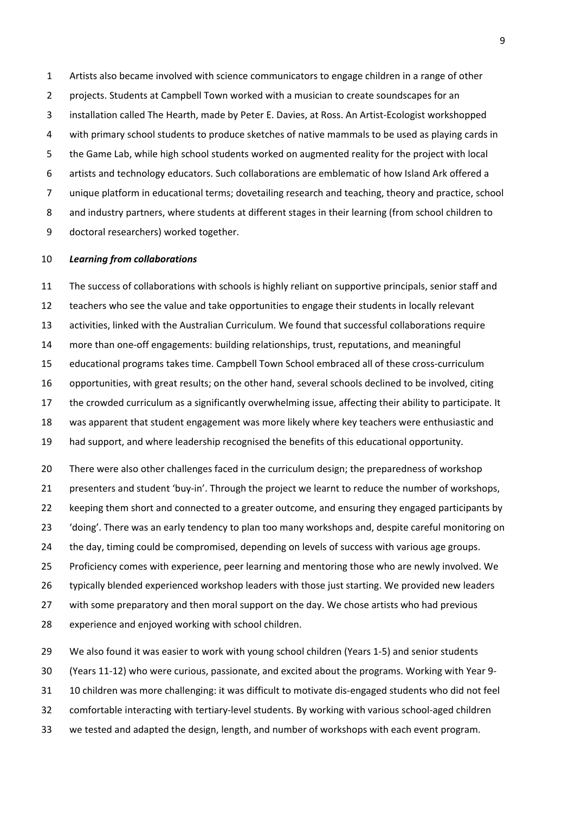Artists also became involved with science communicators to engage children in a range of other projects. Students at Campbell Town worked with a musician to create soundscapes for an installation called The Hearth, made by Peter E. Davies, at Ross. An Artist-Ecologist workshopped with primary school students to produce sketches of native mammals to be used as playing cards in the Game Lab, while high school students worked on augmented reality for the project with local artists and technology educators. Such collaborations are emblematic of how Island Ark offered a unique platform in educational terms; dovetailing research and teaching, theory and practice, school and industry partners, where students at different stages in their learning (from school children to doctoral researchers) worked together.

### *Learning from collaborations*

 The success of collaborations with schools is highly reliant on supportive principals, senior staff and teachers who see the value and take opportunities to engage their students in locally relevant activities, linked with the Australian Curriculum. We found that successful collaborations require more than one-off engagements: building relationships, trust, reputations, and meaningful educational programs takes time. Campbell Town School embraced all of these cross-curriculum opportunities, with great results; on the other hand, several schools declined to be involved, citing the crowded curriculum as a significantly overwhelming issue, affecting their ability to participate. It was apparent that student engagement was more likely where key teachers were enthusiastic and had support, and where leadership recognised the benefits of this educational opportunity.

20 There were also other challenges faced in the curriculum design; the preparedness of workshop presenters and student 'buy-in'. Through the project we learnt to reduce the number of workshops, 22 keeping them short and connected to a greater outcome, and ensuring they engaged participants by 'doing'. There was an early tendency to plan too many workshops and, despite careful monitoring on the day, timing could be compromised, depending on levels of success with various age groups. Proficiency comes with experience, peer learning and mentoring those who are newly involved. We 26 typically blended experienced workshop leaders with those just starting. We provided new leaders 27 with some preparatory and then moral support on the day. We chose artists who had previous experience and enjoyed working with school children.

 We also found it was easier to work with young school children (Years 1-5) and senior students (Years 11-12) who were curious, passionate, and excited about the programs. Working with Year 9- 10 children was more challenging: it was difficult to motivate dis-engaged students who did not feel comfortable interacting with tertiary-level students. By working with various school-aged children we tested and adapted the design, length, and number of workshops with each event program.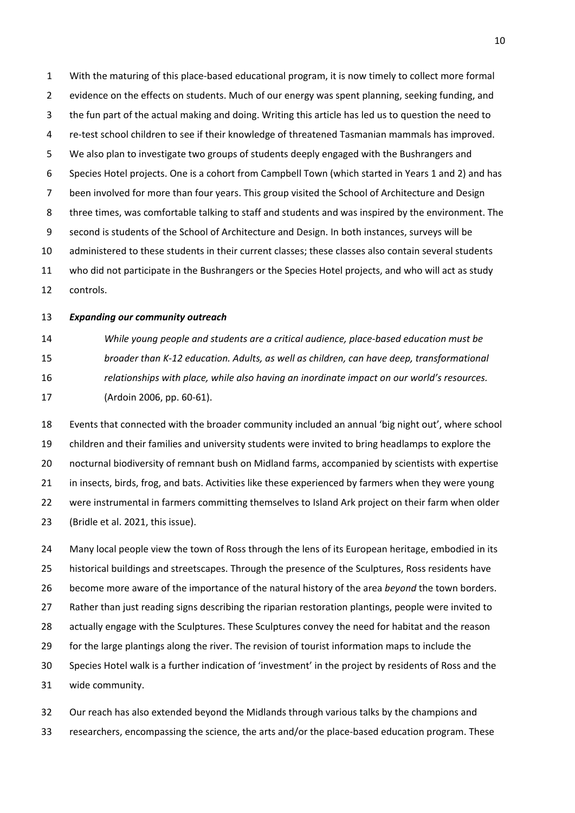With the maturing of this place-based educational program, it is now timely to collect more formal evidence on the effects on students. Much of our energy was spent planning, seeking funding, and the fun part of the actual making and doing. Writing this article has led us to question the need to re-test school children to see if their knowledge of threatened Tasmanian mammals has improved. We also plan to investigate two groups of students deeply engaged with the Bushrangers and Species Hotel projects. One is a cohort from Campbell Town (which started in Years 1 and 2) and has been involved for more than four years. This group visited the School of Architecture and Design three times, was comfortable talking to staff and students and was inspired by the environment. The second is students of the School of Architecture and Design. In both instances, surveys will be administered to these students in their current classes; these classes also contain several students who did not participate in the Bushrangers or the Species Hotel projects, and who will act as study controls.

*Expanding our community outreach* 

 *While young people and students are a critical audience, place-based education must be broader than K-12 education. Adults, as well as children, can have deep, transformational relationships with place, while also having an inordinate impact on our world's resources.* (Ardoin 2006, pp. 60-61).

 Events that connected with the broader community included an annual 'big night out', where school children and their families and university students were invited to bring headlamps to explore the nocturnal biodiversity of remnant bush on Midland farms, accompanied by scientists with expertise 21 in insects, birds, frog, and bats. Activities like these experienced by farmers when they were young were instrumental in farmers committing themselves to Island Ark project on their farm when older (Bridle et al. 2021, this issue).

 Many local people view the town of Ross through the lens of its European heritage, embodied in its historical buildings and streetscapes. Through the presence of the Sculptures, Ross residents have become more aware of the importance of the natural history of the area *beyond* the town borders. Rather than just reading signs describing the riparian restoration plantings, people were invited to actually engage with the Sculptures. These Sculptures convey the need for habitat and the reason for the large plantings along the river. The revision of tourist information maps to include the Species Hotel walk is a further indication of 'investment' in the project by residents of Ross and the wide community.

 Our reach has also extended beyond the Midlands through various talks by the champions and researchers, encompassing the science, the arts and/or the place-based education program. These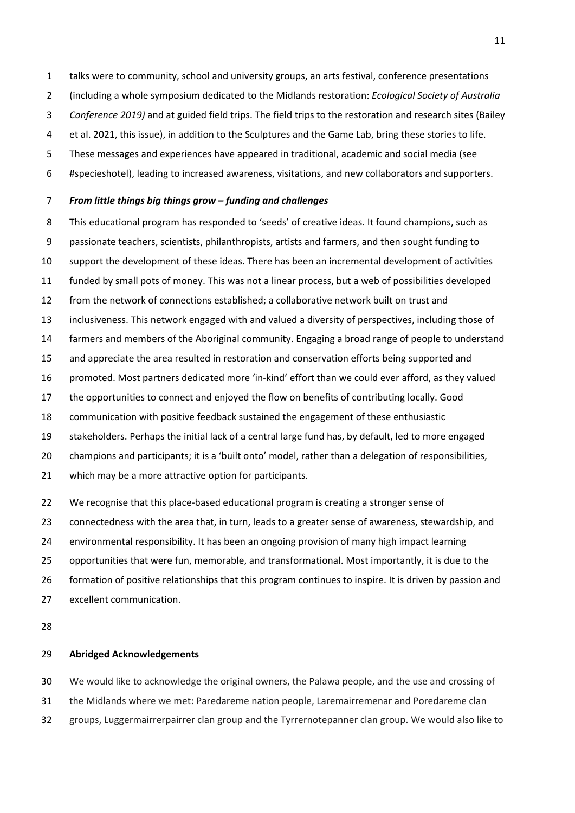talks were to community, school and university groups, an arts festival, conference presentations

- (including a whole symposium dedicated to the Midlands restoration: *Ecological Society of Australia*
- *Conference 2019)* and at guided field trips. The field trips to the restoration and research sites (Bailey
- et al. 2021, this issue), in addition to the Sculptures and the Game Lab, bring these stories to life.
- These messages and experiences have appeared in traditional, academic and social media (see
- #specieshotel), leading to increased awareness, visitations, and new collaborators and supporters.

### *From little things big things grow – funding and challenges*

- This educational program has responded to 'seeds' of creative ideas. It found champions, such as passionate teachers, scientists, philanthropists, artists and farmers, and then sought funding to support the development of these ideas. There has been an incremental development of activities funded by small pots of money. This was not a linear process, but a web of possibilities developed from the network of connections established; a collaborative network built on trust and inclusiveness. This network engaged with and valued a diversity of perspectives, including those of farmers and members of the Aboriginal community. Engaging a broad range of people to understand and appreciate the area resulted in restoration and conservation efforts being supported and promoted. Most partners dedicated more 'in-kind' effort than we could ever afford, as they valued the opportunities to connect and enjoyed the flow on benefits of contributing locally. Good communication with positive feedback sustained the engagement of these enthusiastic stakeholders. Perhaps the initial lack of a central large fund has, by default, led to more engaged champions and participants; it is a 'built onto' model, rather than a delegation of responsibilities, which may be a more attractive option for participants.
- 22 We recognise that this place-based educational program is creating a stronger sense of
- connectedness with the area that, in turn, leads to a greater sense of awareness, stewardship, and
- environmental responsibility. It has been an ongoing provision of many high impact learning
- opportunities that were fun, memorable, and transformational. Most importantly, it is due to the
- formation of positive relationships that this program continues to inspire. It is driven by passion and
- excellent communication.
- 

# **Abridged Acknowledgements**

We would like to acknowledge the original owners, the Palawa people, and the use and crossing of

- the Midlands where we met: Paredareme nation people, Laremairremenar and Poredareme clan
- groups, Luggermairrerpairrer clan group and the Tyrrernotepanner clan group. We would also like to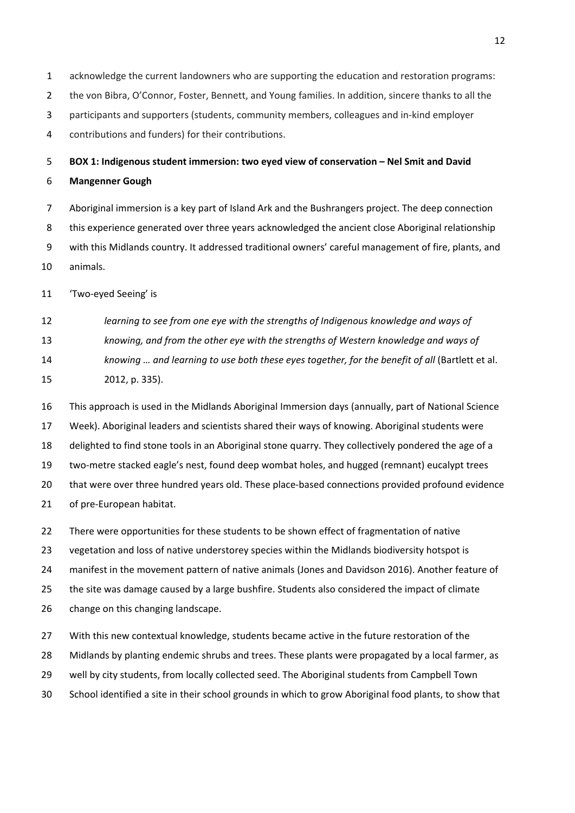- acknowledge the current landowners who are supporting the education and restoration programs: the von Bibra, O'Connor, Foster, Bennett, and Young families. In addition, sincere thanks to all the participants and supporters (students, community members, colleagues and in-kind employer
- contributions and funders) for their contributions.

 **BOX 1: Indigenous student immersion: two eyed view of conservation – Nel Smit and David Mangenner Gough**

 Aboriginal immersion is a key part of Island Ark and the Bushrangers project. The deep connection this experience generated over three years acknowledged the ancient close Aboriginal relationship with this Midlands country. It addressed traditional owners' careful management of fire, plants, and animals.

'Two-eyed Seeing' is

 *learning to see from one eye with the strengths of Indigenous knowledge and ways of knowing, and from the other eye with the strengths of Western knowledge and ways of knowing … and learning to use both these eyes together, for the benefit of all* (Bartlett et al. 2012, p. 335).

 This approach is used in the Midlands Aboriginal Immersion days (annually, part of National Science Week). Aboriginal leaders and scientists shared their ways of knowing. Aboriginal students were delighted to find stone tools in an Aboriginal stone quarry. They collectively pondered the age of a two-metre stacked eagle's nest, found deep wombat holes, and hugged (remnant) eucalypt trees that were over three hundred years old. These place-based connections provided profound evidence of pre-European habitat.

There were opportunities for these students to be shown effect of fragmentation of native

vegetation and loss of native understorey species within the Midlands biodiversity hotspot is

manifest in the movement pattern of native animals (Jones and Davidson 2016). Another feature of

the site was damage caused by a large bushfire. Students also considered the impact of climate

change on this changing landscape.

With this new contextual knowledge, students became active in the future restoration of the

Midlands by planting endemic shrubs and trees. These plants were propagated by a local farmer, as

well by city students, from locally collected seed. The Aboriginal students from Campbell Town

School identified a site in their school grounds in which to grow Aboriginal food plants, to show that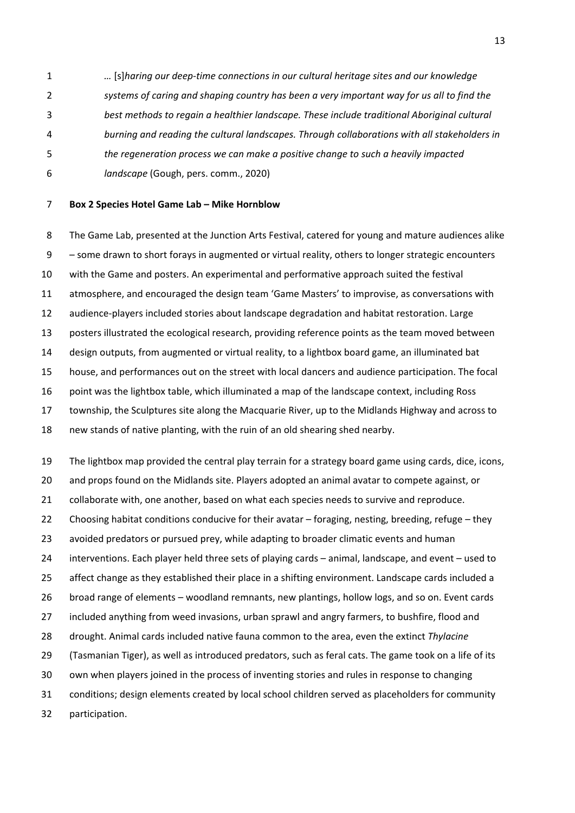*…* [s]*haring our deep-time connections in our cultural heritage sites and our knowledge systems of caring and shaping country has been a very important way for us all to find the best methods to regain a healthier landscape. These include traditional Aboriginal cultural burning and reading the cultural landscapes. Through collaborations with all stakeholders in the regeneration process we can make a positive change to such a heavily impacted landscape* (Gough, pers. comm., 2020)

### **Box 2 Species Hotel Game Lab – Mike Hornblow**

 The Game Lab, presented at the Junction Arts Festival, catered for young and mature audiences alike – some drawn to short forays in augmented or virtual reality, others to longer strategic encounters with the Game and posters. An experimental and performative approach suited the festival atmosphere, and encouraged the design team 'Game Masters' to improvise, as conversations with audience-players included stories about landscape degradation and habitat restoration. Large posters illustrated the ecological research, providing reference points as the team moved between design outputs, from augmented or virtual reality, to a lightbox board game, an illuminated bat house, and performances out on the street with local dancers and audience participation. The focal point was the lightbox table, which illuminated a map of the landscape context, including Ross township, the Sculptures site along the Macquarie River, up to the Midlands Highway and across to new stands of native planting, with the ruin of an old shearing shed nearby.

The lightbox map provided the central play terrain for a strategy board game using cards, dice, icons,

and props found on the Midlands site. Players adopted an animal avatar to compete against, or

collaborate with, one another, based on what each species needs to survive and reproduce.

Choosing habitat conditions conducive for their avatar – foraging, nesting, breeding, refuge – they

avoided predators or pursued prey, while adapting to broader climatic events and human

interventions. Each player held three sets of playing cards – animal, landscape, and event – used to

affect change as they established their place in a shifting environment. Landscape cards included a

broad range of elements – woodland remnants, new plantings, hollow logs, and so on. Event cards

included anything from weed invasions, urban sprawl and angry farmers, to bushfire, flood and

drought. Animal cards included native fauna common to the area, even the extinct *Thylacine*

(Tasmanian Tiger), as well as introduced predators, such as feral cats. The game took on a life of its

own when players joined in the process of inventing stories and rules in response to changing

conditions; design elements created by local school children served as placeholders for community

participation.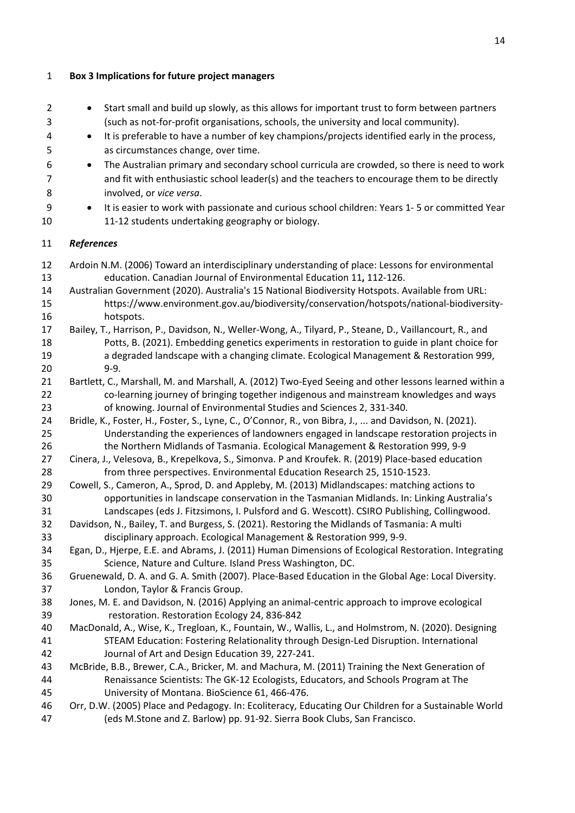**Box 3 Implications for future project managers** 

 • Start small and build up slowly, as this allows for important trust to form between partners (such as not-for-profit organisations, schools, the university and local community). • It is preferable to have a number of key champions/projects identified early in the process, as circumstances change, over time. • The Australian primary and secondary school curricula are crowded, so there is need to work and fit with enthusiastic school leader(s) and the teachers to encourage them to be directly involved, or *vice versa*. • It is easier to work with passionate and curious school children: Years 1- 5 or committed Year 11-12 students undertaking geography or biology. *References* Ardoin N.M. (2006) Toward an interdisciplinary understanding of place: Lessons for environmental education. Canadian Journal of Environmental Education 11**,** 112-126. Australian Government (2020). Australia's 15 National Biodiversity Hotspots. Available from URL: [https://www.environment.gov.au/biodiversity/conservation/hotspots/national-biodiversity-](https://www.environment.gov.au/biodiversity/conservation/hotspots/national-biodiversity-hotspots) [hotspots.](https://www.environment.gov.au/biodiversity/conservation/hotspots/national-biodiversity-hotspots) Bailey, T., Harrison, P., Davidson, N., Weller-Wong, A., Tilyard, P., Steane, D., Vaillancourt, R., and Potts, B. (2021). Embedding genetics experiments in restoration to guide in plant choice for a degraded landscape with a changing climate. Ecological Management & Restoration 999, 9-9. Bartlett, C., Marshall, M. and Marshall, A. (2012) Two-Eyed Seeing and other lessons learned within a co-learning journey of bringing together indigenous and mainstream knowledges and ways of knowing. Journal of Environmental Studies and Sciences 2, 331-340. Bridle, K., Foster, H., Foster, S., Lyne, C., O'Connor, R., von Bibra, J., ... and Davidson, N. (2021). Understanding the experiences of landowners engaged in landscape restoration projects in the Northern Midlands of Tasmania. Ecological Management & Restoration 999, 9-9 Cinera, J., Velesova, B., Krepelkova, S., Simonva. P and Kroufek. R. (2019) Place-based education from three perspectives. Environmental Education Research 25, 1510-1523. Cowell, S., Cameron, A., Sprod, D. and Appleby, M. (2013) Midlandscapes: matching actions to opportunities in landscape conservation in the Tasmanian Midlands. In: Linking Australia's Landscapes (eds J. Fitzsimons, I. Pulsford and G. Wescott). CSIRO Publishing, Collingwood. Davidson, N., Bailey, T. and Burgess, S. (2021). Restoring the Midlands of Tasmania: A multi disciplinary approach. Ecological Management & Restoration 999, 9-9. Egan, D., Hjerpe, E.E. and Abrams, J. (2011) Human Dimensions of Ecological Restoration. Integrating Science, Nature and Culture*.* Island Press Washington, DC. Gruenewald, D. A. and G. A. Smith (2007). Place-Based Education in the Global Age: Local Diversity. London, Taylor & Francis Group. Jones, M. E. and Davidson, N. (2016) Applying an animal-centric approach to improve ecological restoration. Restoration Ecology 24, 836-842 MacDonald, A., Wise, K., Tregloan, K., Fountain, W., Wallis, L., and Holmstrom, N. (2020). Designing STEAM Education: Fostering Relationality through Design-Led Disruption. International Journal of Art and Design Education 39, 227-241. McBride, B.B., Brewer, C.A., Bricker, M. and Machura, M. (2011) Training the Next Generation of Renaissance Scientists: The GK-12 Ecologists, Educators, and Schools Program at The University of Montana. BioScience 61, 466-476. Orr, D.W. (2005) Place and Pedagogy. In: Ecoliteracy, Educating Our Children for a Sustainable World (eds M.Stone and Z. Barlow) pp. 91-92. Sierra Book Clubs, San Francisco.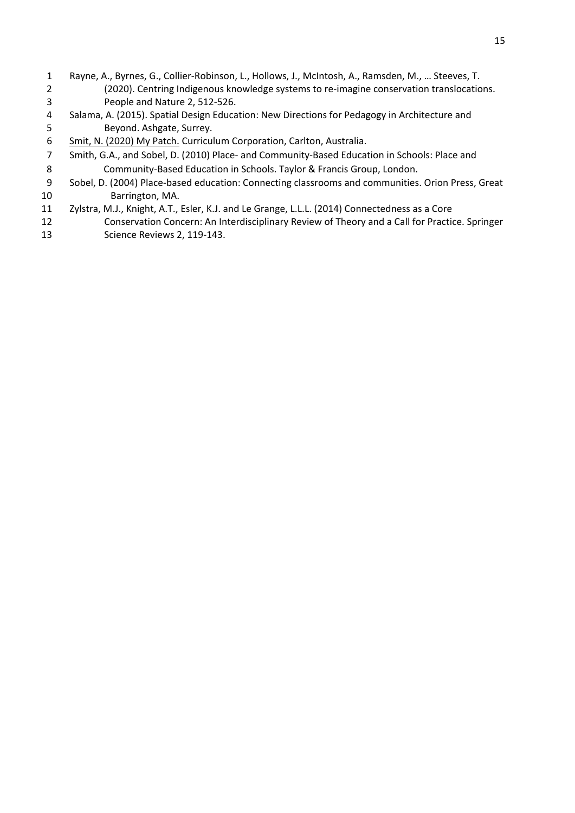- Rayne, A., Byrnes, G., Collier-Robinson, L., Hollows, J., McIntosh, A., Ramsden, M., … Steeves, T. (2020). Centring Indigenous knowledge systems to re-imagine conservation translocations. People and Nature 2, 512-526.
- Salama, A. (2015). Spatial Design Education: New Directions for Pedagogy in Architecture and Beyond. Ashgate, Surrey.
- 6 Smit, N. (2020) My Patc[h.](https://issuu.com/utaslibrary/docs/my_patch_sml) Curriculum Corporation, Carlton, Australia.
- Smith, G.A., and Sobel, D. (2010) Place- and Community-Based Education in Schools: Place and Community-Based Education in Schools. Taylor & Francis Group, London.
- Sobel, D. (2004) Place-based education: Connecting classrooms and communities. Orion Press, Great Barrington, MA.
- Zylstra, M.J., Knight, A.T., Esler, K.J. and Le Grange, L.L.L. (2014) Connectedness as a Core Conservation Concern: An Interdisciplinary Review of Theory and a Call for Practice. Springer Science Reviews 2, 119-143.